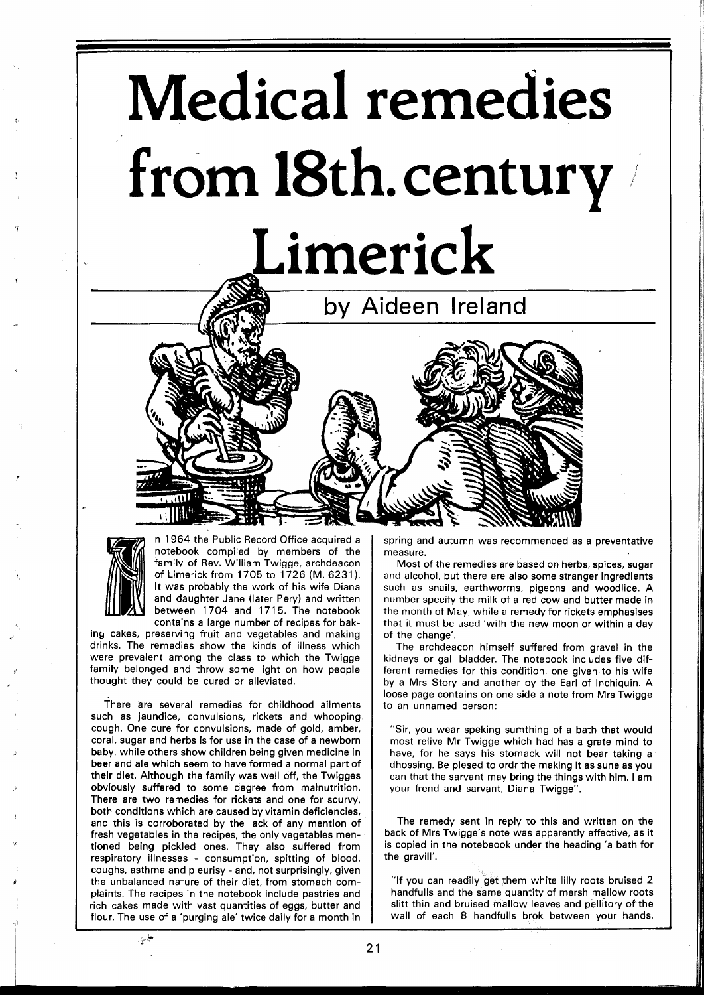# **Medical remedies from 18th.century**  Limerick





n **1964** the Public Record Office acquired a notebook compiled by members of the family of Rev. William Twigge, archdeacon of Limerick from **1705** to **1726** (M. **6231** ). It was probably the work of his wife Diana and daughter Jane (later Pery) and written between 1704 and 1715. The notebook contains a large number of recipes for bak-

ing cakes, preserving fruit and vegetables and making drinks. The remedies show the kinds of illness which were prevalent among the class to which the Twigge family belonged and throw some light on how people thought they could be cured or alleviated.

There are several remedies for childhood ailments such as jaundice, convulsions, rickets and whooping cough. One cure for convulsions, made of gold, amber, coral, sugar and herbs is for use in the case of a newborn baby, while others show children being given medicine in beer and ale which seem to have formed a normal part of their diet. Although the family was well off, the Twigges obviously suffered to some degree from malnutrition. There are two remedies for rickets and one for scurvy, both conditions which are caused by vitamin deficiencies, and this is corroborated by the lack of any mention of fresh vegetables in the recipes, the only vegetables mentioned being pickled ones. They also suffered from respiratory illnesses - consumption, spitting of blood, coughs, asthma and pleurisy - and, not surprisingly, given the unbalanced nature of their diet, from stomach complaints. The recipes in the notebook include pastries and rich cakes made with vast quantities of eggs, butter and flour. The use of a 'purging ale' twice daily for a month in

spring and autumn was recommended as a preventative measure.

Most of the remedies are based on herbs, spices, sugar and alcohol, but there are also some stranger ingredients such as snails, earthworms, pigeons and woodlice. A number specify the milk of a red cow and butter made in the month of May, while a remedy for rickets emphasises that it must be used 'with the new moon or within a day of the change'.

The archdeacon himself suffered from gravel in the kidneys or gall bladder. The notebook includes five different remedies for this condition, one given to his wife by a Mrs Story and another by the Earl of Inchiquin. A loose page contains on one side a note from Mrs Twigge to an unnamed person:

"Sir, you wear speking sumthing of a bath that would most relive Mr Twigge which had has a grate mind to have, for he says his stomack will not bear taking a dhossing. Be plesed to ordr the making it as sune as you can that the sarvant may bring the things with him. I am your frend and sarvant, Diana Twigge".

The remedy sent in reply to this and written on the back of Mrs Twigge's note was apparently effective, as it is copied in the notebeook under the heading 'a bath for the gravill'.

"If you can readily get them white lilly roots bruised **2**  handfulls and the same quantity of mersh mallow roots slitt thin and bruised mallow leaves and pellitory of the wall of each 8 handfulls brok between your hands,